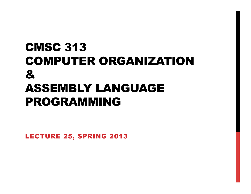## CMSC 313 COMPUTER ORGANIZATION & ASSEMBLY LANGUAGE PROGRAMMING

LECTURE 25, SPRING 2013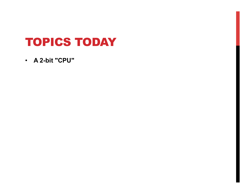## TOPICS TODAY

• **A 2-bit "CPU"**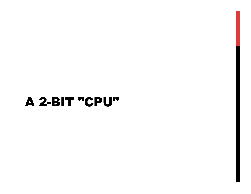# A 2-BIT "CPU"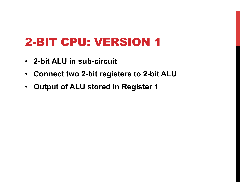- **2-bit ALU in sub-circuit**
- **Connect two 2-bit registers to 2-bit ALU**
- **Output of ALU stored in Register 1**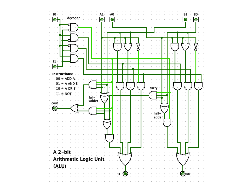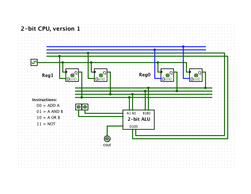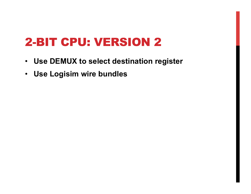- **Use DEMUX to select destination register**
- **Use Logisim wire bundles**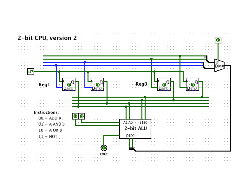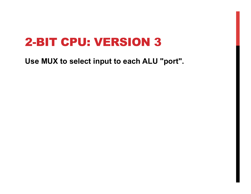**Use MUX to select input to each ALU "port".**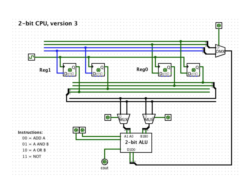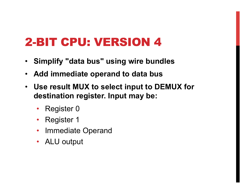- **Simplify "data bus" using wire bundles**
- **Add immediate operand to data bus**
- **Use result MUX to select input to DEMUX for destination register. Input may be:** 
	- Register 0
	- Register 1
	- Immediate Operand
	- ALU output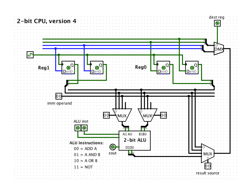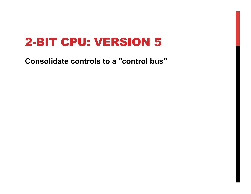**Consolidate controls to a "control bus"**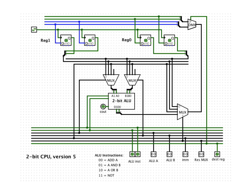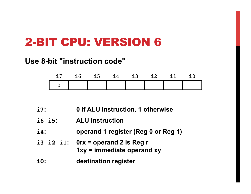#### **Use 8-bit "instruction code"**

| $-17$ | 16 15 14 |  | 13 12 11 | 10 |
|-------|----------|--|----------|----|
|       |          |  |          |    |

- **i7: 0 if ALU instruction, 1 otherwise**
- **i6 i5: ALU instruction**
- **i4: operand 1 register (Reg 0 or Reg 1)**
- **i3 i2 i1: 0rx = operand 2 is Reg r 1xy = immediate operand xy**
- **i0: destination register**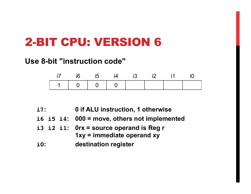#### **Use 8-bit "instruction code"**

|                     | i5 i4                                                | $-13$ 12 |  | 10 I |
|---------------------|------------------------------------------------------|----------|--|------|
| $1 \quad 1 \quad 0$ | $\begin{array}{ccccccc}\n1 & 0 & 0 & 0\n\end{array}$ |          |  |      |

| $i7$ :     |  | 0 if ALU instruction, 1 otherwise                                           |
|------------|--|-----------------------------------------------------------------------------|
|            |  | i6 i5 i4: $000 =$ move, others not implemented                              |
|            |  | i3 i2 i1: $0rx = source$ operand is Reg r<br>$1xy =$ immediate operand $xy$ |
| $\bf i0$ : |  | destination register                                                        |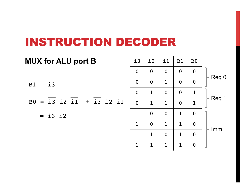#### **INSTRUCTION DECODER**

| <b>MUX for ALU port B</b>                      | $\dot{1}3$       | i2               | i1               | B1             | B <sub>0</sub>   |       |
|------------------------------------------------|------------------|------------------|------------------|----------------|------------------|-------|
|                                                | $\boldsymbol{0}$ | $\mathbf 0$      | $\boldsymbol{0}$ | $\overline{0}$ | $\boldsymbol{0}$ |       |
| $B1 = i3$                                      | $\overline{0}$   | $\overline{0}$   | $\mathbf{1}$     | $\overline{0}$ | $\boldsymbol{0}$ | Reg 0 |
|                                                | $\overline{0}$   | $\mathbf{1}$     | $\overline{0}$   | $\overline{0}$ | 1                |       |
| $+$ i3 i2 i1<br>$= i3$ i2 i1<br>B <sub>0</sub> | $\overline{0}$   | $\mathbf 1$      | $\mathbf{1}$     | $\overline{0}$ | 1                | Reg 1 |
| $= i3$ i2                                      | $\mathbf{1}$     | $\boldsymbol{0}$ | $\boldsymbol{0}$ | $\mathbf{1}$   | $\boldsymbol{0}$ |       |
|                                                | $\mathbf{1}$     | $\overline{0}$   | $\mathbf{1}$     | $\mathbf 1$    | $\overline{0}$   |       |
|                                                | $\mathbf{1}$     | $\mathbf 1$      | $\overline{0}$   | $\mathbf{1}$   | $\boldsymbol{0}$ | Imm   |
|                                                |                  |                  | 1                | 1              | $\Omega$         |       |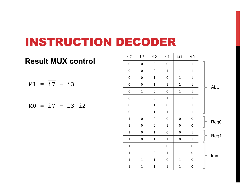#### INSTRUCTION DECODER

|  |                |                   | <b>Result MUX control</b> |  |
|--|----------------|-------------------|---------------------------|--|
|  | $M1 = i7 + i3$ |                   |                           |  |
|  |                | $MO = i7 + i3 i2$ |                           |  |

|            | MO           | M1           | i1           | i2               | $\frac{13}{1}$ | i7           |
|------------|--------------|--------------|--------------|------------------|----------------|--------------|
|            | $\mathbf{1}$ | $\mathbf{1}$ | $\pmb{0}$    | $\pmb{0}$        | $\pmb{0}$      | $\pmb{0}$    |
|            | $\mathbf 1$  | $\mathbf 1$  | $\mathbf 1$  | $\pmb{0}$        | $\pmb{0}$      | $\pmb{0}$    |
|            | $\mathbf 1$  | $\mathbf 1$  | $\pmb{0}$    | $\mathbf{1}$     | $\pmb{0}$      | $\pmb{0}$    |
| <b>ALU</b> | $\mathbf{1}$ | $\mathbf{1}$ | $\mathbf{1}$ | $\overline{1}$   | $\mathbf 0$    | $\pmb{0}$    |
|            | $\mathbf 1$  | $\mathbf 1$  | $\pmb{0}$    | $\boldsymbol{0}$ | $\mathbf 1$    | $\pmb{0}$    |
|            | $\mathbf{1}$ | $\mathbf{1}$ | $\mathbf{1}$ | $\pmb{0}$        | $\mathbf 1$    | $\pmb{0}$    |
|            | $\mathbf 1$  | $\mathbf 1$  | $\pmb{0}$    | $\mathbf{1}$     | $\mathbf 1$    | $\pmb{0}$    |
|            | $\mathbf 1$  | $\mathbf 1$  | $\mathbf 1$  | $\mathbf 1$      | $\mathbf 1$    | $\pmb{0}$    |
|            | $\pmb{0}$    | 0            | $\pmb{0}$    | $\pmb{0}$        | $\pmb{0}$      | $\mathbf 1$  |
| Reg0       | $\pmb{0}$    | 0            | $\mathbf 1$  | $\boldsymbol{0}$ | $\pmb{0}$      | $\mathbf 1$  |
|            | $\mathbf 1$  | 0            | $\pmb{0}$    | $\mathbf{1}$     | $\pmb{0}$      | $\mathbf{1}$ |
| Reg1       | $\mathbf{1}$ | 0            | $\mathbf 1$  | $\mathbf{1}$     | $\pmb{0}$      | $\mathbf{1}$ |
|            | $\pmb{0}$    | $\mathbf{1}$ | $\pmb{0}$    | $\pmb{0}$        | $\mathbf{1}$   | $\mathbf 1$  |
| Imm        | $\pmb{0}$    | $\mathbf 1$  | $\mathbf{1}$ | $\pmb{0}$        | $\mathbf{1}$   | $\mathbf{1}$ |
|            | $\pmb{0}$    | $\mathbf 1$  | 0            | $\mathbf{1}$     | $\mathbf{1}$   | $\mathbf{1}$ |
|            | $\pmb{0}$    | $\mathbf{1}$ | $\mathbf 1$  | $\mathbf{1}$     | $\mathbf{1}$   | $\mathbf 1$  |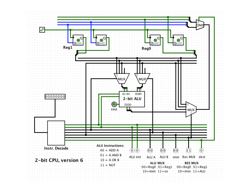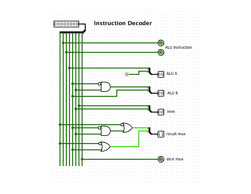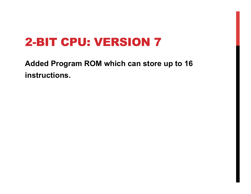**Added Program ROM which can store up to 16 instructions.**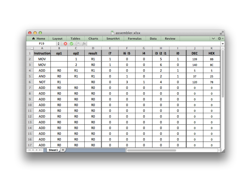|                | $\mathbb{R}^{\overline{\mathbb{Z}}^d}$<br>000<br>$\Box$ assembler.xlsx |                       |                 |                |          |                 |    |          |        |            |                          |
|----------------|------------------------------------------------------------------------|-----------------------|-----------------|----------------|----------|-----------------|----|----------|--------|------------|--------------------------|
|                | A Home                                                                 | Layout                | <b>Tables</b>   | Charts         | SmartArt | <b>Formulas</b> |    | Data     | Review |            | 森。<br>$\checkmark$       |
|                | P19                                                                    | ÷<br>ଊ                | e<br>f x<br>O   |                |          |                 |    |          |        |            | $\overline{\phantom{a}}$ |
| $\sim$         | A                                                                      | B                     | c               | D              | E        | F               | G  | н        | п      |            | к<br>$\qquad \qquad =$   |
| 1              | <b>Instruction</b>                                                     | op1                   | op <sub>2</sub> | result         | i7       | i6 i5           | i4 | i3 i2 i1 | i0     | <b>DEC</b> | <b>HEX</b>               |
| 2              | <b>MOV</b>                                                             |                       | 1               | R1             | 1        | 0               | 0  | 5        | 1      | 139        | 8B                       |
| 3              | <b>MOV</b>                                                             |                       | 2               | R <sub>0</sub> | 1        | 0               | 0  | 6        | 0      | 140        | 8C                       |
| 4              | <b>ADD</b>                                                             | <b>RO</b>             | R1              | <b>R1</b>      | 0        | 0               | 0  | 2        | 1      | 5          | 5                        |
| 5              | <b>AND</b>                                                             | R0                    | R1              | R1             | 0        | 1               | 0  | 2        | 1      | 37         | 25                       |
| 6              | <b>NOT</b>                                                             | R1                    |                 | RO             | 0        | 3               | 1  | 4        | 0      | 120        | 78                       |
| $\overline{7}$ | <b>ADD</b>                                                             | <b>RO</b>             | RO              | R <sub>0</sub> | 0        | 0               | 0  | 0        | 0      | 0          | 0                        |
| 8              | ADD                                                                    | RO                    | RO              | RO             | 0        | 0               | 0  | 0        | 0      | 0          | 0                        |
| 9              | <b>ADD</b>                                                             | R0                    | R0              | RO             | 0        | 0               | 0  | 0        | 0      | 0          | 0                        |
| 10             | <b>ADD</b>                                                             | <b>RO</b>             | <b>RO</b>       | RO             | 0        | 0               | 0  | 0        | 0      | 0          | 0                        |
| 11             | <b>ADD</b>                                                             | R <sub>0</sub>        | R <sub>0</sub>  | R <sub>0</sub> | 0        | 0               | 0  | 0        | 0      | 0          | 0                        |
| 12             | <b>ADD</b>                                                             | RO                    | RO              | RO             | 0        | 0               | 0  | 0        | 0      | 0          | 0                        |
| 13             | <b>ADD</b>                                                             | <b>RO</b>             | <b>RO</b>       | R <sub>0</sub> | 0        | 0               | 0  | 0        | 0      | 0          | 0                        |
| 14             | <b>ADD</b>                                                             | <b>RO</b>             | RO              | <b>RO</b>      | 0        | 0               | 0  | 0        | 0      | 0          | 0                        |
| 15             | <b>ADD</b>                                                             | R0                    | RO              | R0             | 0        | 0               | 0  | 0        | 0      | 0          | 0                        |
| 16             | <b>ADD</b>                                                             | R <sub>0</sub>        | RO              | RO             | 0        | 0               | 0  | 0        | 0      | 0          | 0                        |
| 17             | <b>ADD</b>                                                             | <b>RO</b>             | RO              | RO             | 0        | 0               | 0  | 0        | 0      | 0          | 0                        |
|                | $-14 - 4 - 3 - 3 - 1 - 1$                                              | $+$<br>Sheet1 $\sqrt$ |                 |                |          | ю               |    |          |        |            | $   \cdot   _A$          |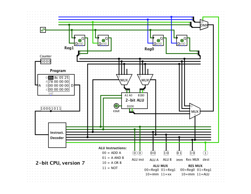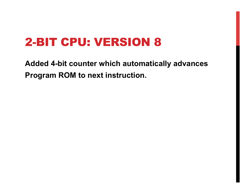**Added 4-bit counter which automatically advances Program ROM to next instruction.**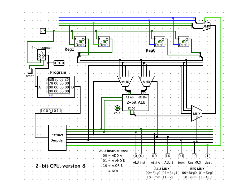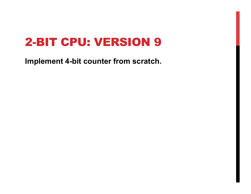**Implement 4-bit counter from scratch.**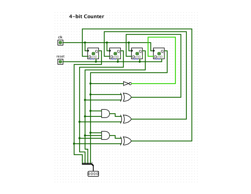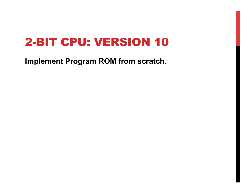**Implement Program ROM from scratch.**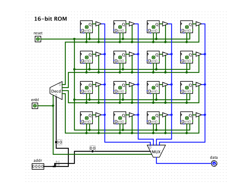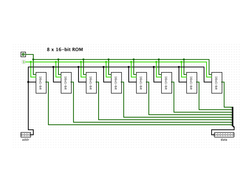